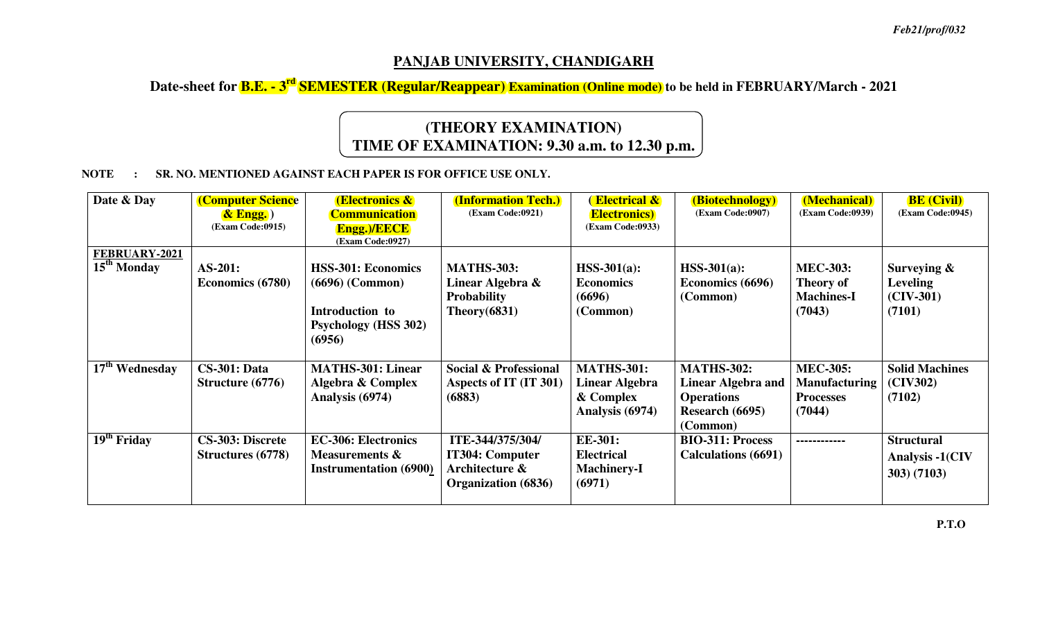## **PANJAB UNIVERSITY, CHANDIGARH**

### **Date-sheet for B.E. - 3rd SEMESTER (Regular/Reappear) Examination (Online mode) to be held in FEBRUARY/March - 2021**

# **(THEORY EXAMINATION) TIME OF EXAMINATION: 9.30 a.m. to 12.30 p.m.**

#### **NOTE : SR. NO. MENTIONED AGAINST EACH PAPER IS FOR OFFICE USE ONLY.**

| Date & Day                                      | <b>(Computer Science</b>                            | <b>(Electronics &amp;)</b>                                                                                 | <b>(Information Tech.)</b><br>(Exam Code:0921)                                      | <b>Electrical &amp;</b>                                             | (Biotechnology)<br>(Exam Code:0907)                                                         | (Mechanical)<br>(Exam Code:0939)                                      | <b>BE</b> (Civil)<br><b>(Exam Code:0945)</b>               |
|-------------------------------------------------|-----------------------------------------------------|------------------------------------------------------------------------------------------------------------|-------------------------------------------------------------------------------------|---------------------------------------------------------------------|---------------------------------------------------------------------------------------------|-----------------------------------------------------------------------|------------------------------------------------------------|
|                                                 | $\&$ Engg.)<br>(Exam Code:0915)                     | <b>Communication</b><br><b>Engg.)/EECE</b><br>(Exam Code:0927)                                             |                                                                                     | <b>Electronics</b> )<br>(Exam Code:0933)                            |                                                                                             |                                                                       |                                                            |
| <b>FEBRUARY-2021</b><br>15 <sup>th</sup> Monday | AS-201:<br>Economics (6780)                         | <b>HSS-301: Economics</b><br>$(6696)$ (Common)<br>Introduction to<br><b>Psychology (HSS 302)</b><br>(6956) | <b>MATHS-303:</b><br>Linear Algebra &<br><b>Probability</b><br>Theory $(6831)$      | $HSS-301(a):$<br><b>Economics</b><br>(6696)<br>(Common)             | $HSS-301(a):$<br>Economics (6696)<br>(Common)                                               | <b>MEC-303:</b><br><b>Theory of</b><br><b>Machines-I</b><br>(7043)    | Surveying $\&$<br><b>Leveling</b><br>$(CIV-301)$<br>(7101) |
| $17th$ Wednesday                                | <b>CS-301: Data</b><br>Structure $(6776)$           | <b>MATHS-301: Linear</b><br>Algebra & Complex<br>Analysis (6974)                                           | <b>Social &amp; Professional</b><br>Aspects of IT (IT 301)<br>(6883)                | <b>MATHS-301:</b><br>Linear Algebra<br>& Complex<br>Analysis (6974) | <b>MATHS-302:</b><br>Linear Algebra and<br><b>Operations</b><br>Research (6695)<br>(Common) | <b>MEC-305:</b><br><b>Manufacturing</b><br><b>Processes</b><br>(7044) | <b>Solid Machines</b><br>(CIV302)<br>(7102)                |
| $\overline{19}^{\text{th}}$ Friday              | <b>CS-303: Discrete</b><br><b>Structures</b> (6778) | <b>EC-306: Electronics</b><br>Measurements $\boldsymbol{\&}$<br><b>Instrumentation</b> (6900)              | ITE-344/375/304/<br><b>IT304: Computer</b><br>Architecture &<br>Organization (6836) | <b>EE-301:</b><br><b>Electrical</b><br><b>Machinery-I</b><br>(6971) | <b>BIO-311: Process</b><br><b>Calculations</b> (6691)                                       | ------------                                                          | <b>Structural</b><br>Analysis -1(CIV<br>303) (7103)        |